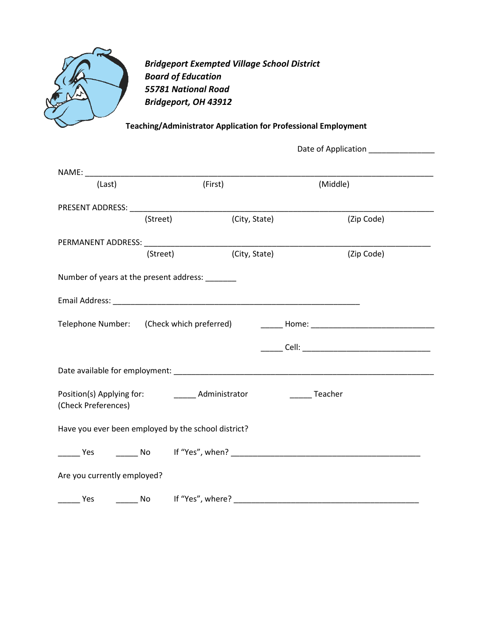

*Bridgeport Exempted Village School District Board of Education 55781 National Road Bridgeport, OH 43912*

## **Teaching/Administrator Application for Professional Employment**

|                                                                                   |          |               | Date of Application |  |  |
|-----------------------------------------------------------------------------------|----------|---------------|---------------------|--|--|
|                                                                                   |          |               |                     |  |  |
| (Last)                                                                            |          | (First)       | (Middle)            |  |  |
|                                                                                   |          |               |                     |  |  |
|                                                                                   | (Street) | (City, State) | (Zip Code)          |  |  |
|                                                                                   |          |               |                     |  |  |
|                                                                                   | (Street) | (City, State) | (Zip Code)          |  |  |
| Number of years at the present address: ______                                    |          |               |                     |  |  |
|                                                                                   |          |               |                     |  |  |
| Telephone Number: (Check which preferred) __________Home: _______________________ |          |               |                     |  |  |
|                                                                                   |          |               |                     |  |  |
|                                                                                   |          |               |                     |  |  |
| Teacher<br>(Check Preferences)                                                    |          |               |                     |  |  |
| Have you ever been employed by the school district?                               |          |               |                     |  |  |
|                                                                                   |          |               |                     |  |  |
| Are you currently employed?                                                       |          |               |                     |  |  |
|                                                                                   |          |               |                     |  |  |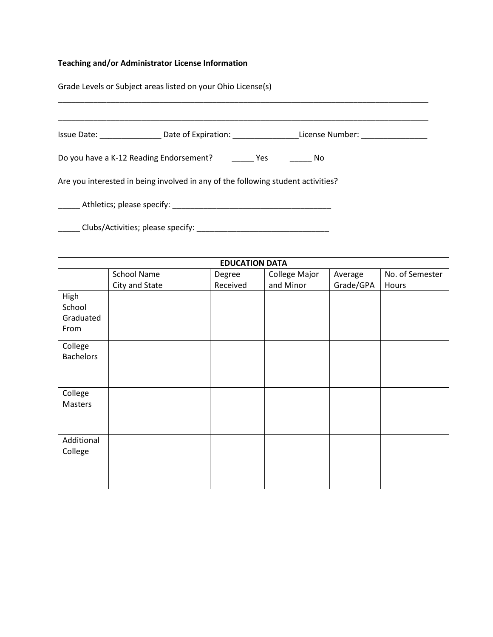# **Teaching and/or Administrator License Information**

Grade Levels or Subject areas listed on your Ohio License(s)

| Issue Date: Case of Expiration: Case Clicense Number: Case Out of Expiration: Case Clicense Number: |           |
|-----------------------------------------------------------------------------------------------------|-----------|
| Do you have a K-12 Reading Endorsement? Yes                                                         | <b>No</b> |
| Are you interested in being involved in any of the following student activities?                    |           |
|                                                                                                     |           |
|                                                                                                     |           |

| <b>EDUCATION DATA</b> |                |          |               |           |                 |
|-----------------------|----------------|----------|---------------|-----------|-----------------|
|                       | School Name    | Degree   | College Major | Average   | No. of Semester |
|                       | City and State | Received | and Minor     | Grade/GPA | Hours           |
| High                  |                |          |               |           |                 |
| School                |                |          |               |           |                 |
| Graduated             |                |          |               |           |                 |
| From                  |                |          |               |           |                 |
| College               |                |          |               |           |                 |
| <b>Bachelors</b>      |                |          |               |           |                 |
|                       |                |          |               |           |                 |
|                       |                |          |               |           |                 |
| College               |                |          |               |           |                 |
| Masters               |                |          |               |           |                 |
|                       |                |          |               |           |                 |
|                       |                |          |               |           |                 |
| Additional            |                |          |               |           |                 |
| College               |                |          |               |           |                 |
|                       |                |          |               |           |                 |
|                       |                |          |               |           |                 |
|                       |                |          |               |           |                 |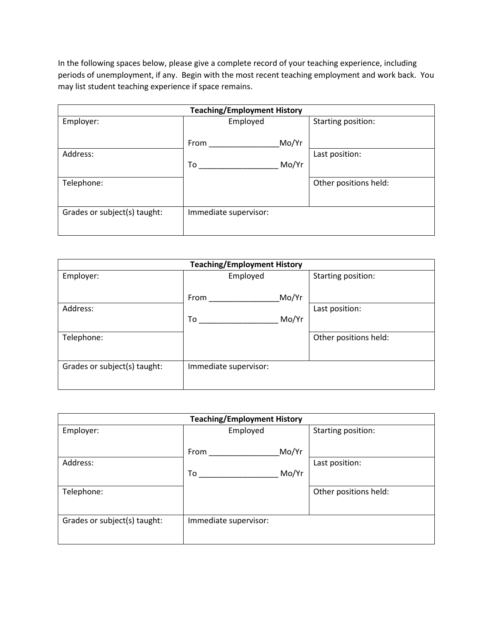In the following spaces below, please give a complete record of your teaching experience, including periods of unemployment, if any. Begin with the most recent teaching employment and work back. You may list student teaching experience if space remains.

| <b>Teaching/Employment History</b> |                       |                       |  |
|------------------------------------|-----------------------|-----------------------|--|
| Employer:                          | Employed              | Starting position:    |  |
|                                    |                       |                       |  |
|                                    | From                  | Mo/Yr                 |  |
| Address:                           |                       | Last position:        |  |
|                                    | To                    | Mo/Yr                 |  |
| Telephone:                         |                       | Other positions held: |  |
|                                    |                       |                       |  |
| Grades or subject(s) taught:       | Immediate supervisor: |                       |  |
|                                    |                       |                       |  |

| <b>Teaching/Employment History</b> |                       |       |                       |  |
|------------------------------------|-----------------------|-------|-----------------------|--|
| Employer:                          | Employed              |       | Starting position:    |  |
|                                    | From                  | Mo/Yr |                       |  |
| Address:                           |                       |       | Last position:        |  |
|                                    | To                    | Mo/Yr |                       |  |
| Telephone:                         |                       |       | Other positions held: |  |
|                                    |                       |       |                       |  |
| Grades or subject(s) taught:       | Immediate supervisor: |       |                       |  |
|                                    |                       |       |                       |  |

| <b>Teaching/Employment History</b> |                       |                       |  |  |
|------------------------------------|-----------------------|-----------------------|--|--|
| Employer:                          | Employed              | Starting position:    |  |  |
|                                    | Mo/Yr<br>From         |                       |  |  |
| Address:                           |                       | Last position:        |  |  |
|                                    | Mo/Yr<br>To           |                       |  |  |
| Telephone:                         |                       | Other positions held: |  |  |
|                                    |                       |                       |  |  |
| Grades or subject(s) taught:       | Immediate supervisor: |                       |  |  |
|                                    |                       |                       |  |  |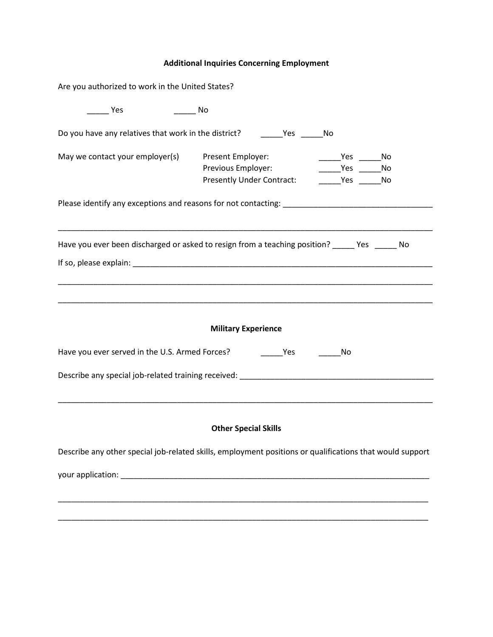# **Additional Inquiries Concerning Employment**

| Are you authorized to work in the United States?                                  |                                                                                                                                         |
|-----------------------------------------------------------------------------------|-----------------------------------------------------------------------------------------------------------------------------------------|
| Yes                                                                               | No                                                                                                                                      |
| Do you have any relatives that work in the district? ___________________________  | No                                                                                                                                      |
| May we contact your employer(s)                                                   | Present Employer:<br>No Prestigation No. 2016<br>Previous Employer:<br>Yes No<br><b>Presently Under Contract:</b><br>Yes No             |
|                                                                                   | Have you ever been discharged or asked to resign from a teaching position? ______ Yes ______ No                                         |
|                                                                                   | <b>Military Experience</b>                                                                                                              |
| Have you ever served in the U.S. Armed Forces? __________________________________ | No                                                                                                                                      |
|                                                                                   | Describe any special job-related training received: ____________________________                                                        |
|                                                                                   | <b>Other Special Skills</b><br>Describe any other special job-related skills, employment positions or qualifications that would support |
|                                                                                   |                                                                                                                                         |
|                                                                                   |                                                                                                                                         |
|                                                                                   |                                                                                                                                         |
|                                                                                   |                                                                                                                                         |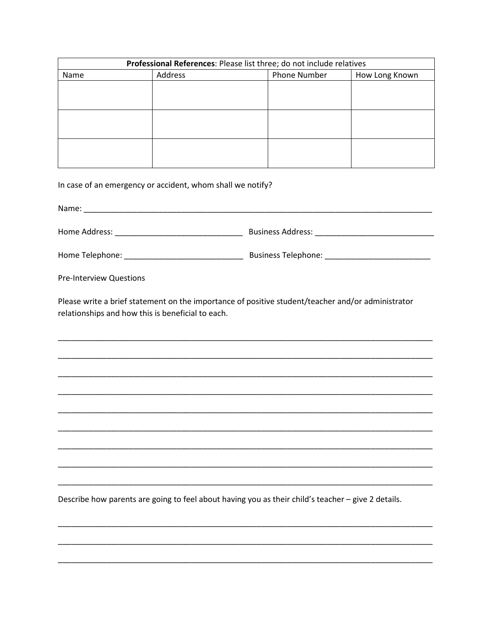| Professional References: Please list three; do not include relatives |         |                     |                |  |
|----------------------------------------------------------------------|---------|---------------------|----------------|--|
| Name                                                                 | Address | <b>Phone Number</b> | How Long Known |  |
|                                                                      |         |                     |                |  |
|                                                                      |         |                     |                |  |
|                                                                      |         |                     |                |  |
|                                                                      |         |                     |                |  |
|                                                                      |         |                     |                |  |
|                                                                      |         |                     |                |  |
|                                                                      |         |                     |                |  |
|                                                                      |         |                     |                |  |
|                                                                      |         |                     |                |  |

In case of an emergency or accident, whom shall we notify?

Name: Name and the state of the state of the state of the state of the state of the state of the state of the state of the state of the state of the state of the state of the state of the state of the state of the state of 

**Pre-Interview Questions** 

Please write a brief statement on the importance of positive student/teacher and/or administrator relationships and how this is beneficial to each.

Describe how parents are going to feel about having you as their child's teacher - give 2 details.